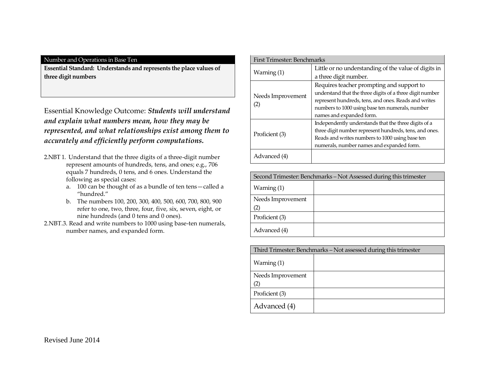**Essential Standard: Understands and represents the place values of three digit numbers**

Essential Knowledge Outcome: *Students will understand and explain what numbers mean, how they may be represented, and what relationships exist among them to accurately and efficiently perform computations.*

- 2.NBT 1. Understand that the three digits of a three-digit number represent amounts of hundreds, tens, and ones; e.g., 706 equals 7 hundreds, 0 tens, and 6 ones. Understand the following as special cases:
	- a. 100 can be thought of as a bundle of ten tens—called a "hundred."
	- b. The numbers 100, 200, 300, 400, 500, 600, 700, 800, 900 refer to one, two, three, four, five, six, seven, eight, or nine hundreds (and 0 tens and 0 ones).
- 2.NBT.3. Read and write numbers to 1000 using base-ten numerals, number names, and expanded form.

| <b>First Trimester: Benchmarks</b> |                                                          |
|------------------------------------|----------------------------------------------------------|
|                                    | Little or no understanding of the value of digits in     |
| Warning (1)                        | a three digit number.                                    |
|                                    | Requires teacher prompting and support to                |
| Needs Improvement                  | understand that the three digits of a three digit number |
|                                    | represent hundreds, tens, and ones. Reads and writes     |
| (2)                                | numbers to 1000 using base ten numerals, number          |
|                                    | names and expanded form.                                 |
|                                    | Independently understands that the three digits of a     |
|                                    | three digit number represent hundreds, tens, and ones.   |
| Proficient (3)                     | Reads and writes numbers to 1000 using base ten          |
|                                    | numerals, number names and expanded form.                |
| Advanced (4)                       |                                                          |

Second Trimester: Benchmarks – Not Assessed during this trimester

| Warning $(1)$     |  |
|-------------------|--|
| Needs Improvement |  |
| (2)               |  |
| Proficient (3)    |  |
| Advanced (4)      |  |

| Third Trimester: Benchmarks – Not assessed during this trimester |  |
|------------------------------------------------------------------|--|
| Warning $(1)$                                                    |  |
| Needs Improvement                                                |  |
| (2)                                                              |  |
| Proficient (3)                                                   |  |
| Advanced (4)                                                     |  |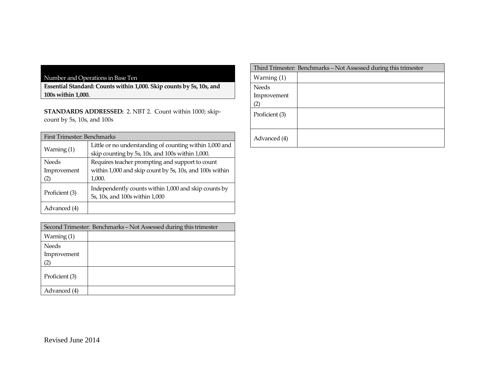**Essential Standard: Counts within 1,000. Skip counts by 5s, 10s, and 100s within 1,000.**

**STANDARDS ADDRESSED:** 2. NBT 2. Count within 1000; skipcount by 5s, 10s, and 100s

| <b>First Trimester: Benchmarks</b> |                                                                                                                      |  |
|------------------------------------|----------------------------------------------------------------------------------------------------------------------|--|
| Warning (1)                        | Little or no understanding of counting within 1,000 and<br>skip counting by 5s, 10s, and 100s within 1,000.          |  |
| <b>Needs</b><br>Improvement<br>(2) | Requires teacher prompting and support to count<br>within 1,000 and skip count by 5s, 10s, and 100s within<br>1,000. |  |
| Proficient (3)                     | Independently counts within 1,000 and skip counts by<br>5s, 10s, and 100s within 1,000                               |  |
| Advanced (4)                       |                                                                                                                      |  |

| Second Trimester: Benchmarks – Not Assessed during this trimester |  |
|-------------------------------------------------------------------|--|
| Warning $(1)$                                                     |  |
| <b>Needs</b>                                                      |  |
| Improvement                                                       |  |
|                                                                   |  |
| Proficient (3)                                                    |  |
| Advanced (4)                                                      |  |

## Third Trimester: Benchmarks - Not Assessed during this trimester Warning (1) Needs Improvement (2) Proficient (3) Advanced (4)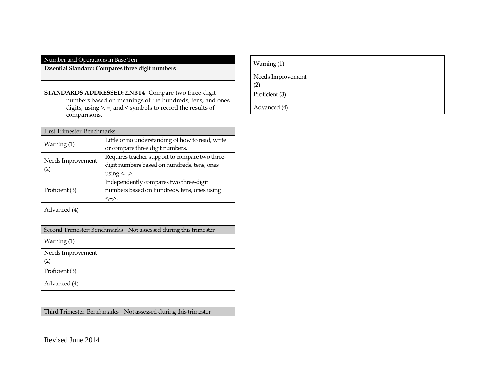**Essential Standard: Compares three digit numbers**

**STANDARDS ADDRESSED: 2.NBT4** Compare two three-digit numbers based on meanings of the hundreds, tens, and ones digits, using >, =, and < symbols to record the results of comparisons.

| First Trimester: Benchmarks |                                                  |  |
|-----------------------------|--------------------------------------------------|--|
|                             | Little or no understanding of how to read, write |  |
| Warning (1)                 | or compare three digit numbers.                  |  |
|                             | Requires teacher support to compare two three-   |  |
| Needs Improvement           | digit numbers based on hundreds, tens, ones      |  |
| $\left( 2\right)$           | using $\leq$ = $\geq$ .                          |  |
|                             | Independently compares two three-digit           |  |
| Proficient (3)              | numbers based on hundreds, tens, ones using      |  |
|                             | <,=,>.                                           |  |
| Advanced (4)                |                                                  |  |

| Second Trimester: Benchmarks – Not assessed during this trimester |  |
|-------------------------------------------------------------------|--|
| Warning $(1)$                                                     |  |
| Needs Improvement                                                 |  |
| Proficient (3)                                                    |  |
| Advanced (4)                                                      |  |

Third Trimester: Benchmarks – Not assessed during this trimester

| Warning (1)             |  |
|-------------------------|--|
| Needs Improvement<br>′2 |  |
| Proficient (3)          |  |
| Advanced (4)            |  |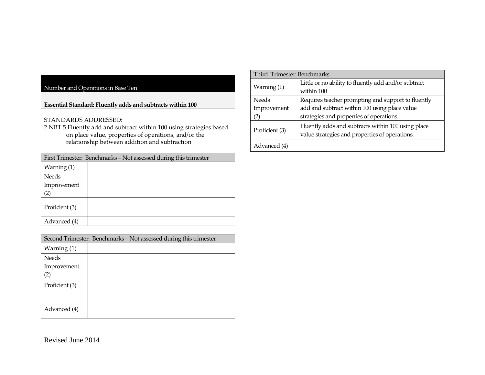**Essential Standard: Fluently adds and subtracts within 100** 

#### STANDARDS ADDRESSED:

2.NBT 5.Fluently add and subtract within 100 using strategies based on place value, properties of operations, and/or the relationship between addition and subtraction

| First Trimester: Benchmarks – Not assessed during this trimester |  |  |
|------------------------------------------------------------------|--|--|
| Warning $(1)$                                                    |  |  |
| Needs                                                            |  |  |
| Improvement                                                      |  |  |
| (2)                                                              |  |  |
| Proficient (3)                                                   |  |  |
| Advanced (4)                                                     |  |  |

| Second Trimester: Benchmarks – Not assessed during this trimester |  |
|-------------------------------------------------------------------|--|
| Warning $(1)$                                                     |  |
| Needs                                                             |  |
| Improvement                                                       |  |
|                                                                   |  |
| Proficient (3)                                                    |  |
|                                                                   |  |
| Advanced (4)                                                      |  |

| Third Trimester: Benchmarks |                |                                                                                                      |
|-----------------------------|----------------|------------------------------------------------------------------------------------------------------|
|                             | Warning $(1)$  | Little or no ability to fluently add and/or subtract                                                 |
|                             |                | within 100                                                                                           |
|                             | <b>Needs</b>   | Requires teacher prompting and support to fluently                                                   |
|                             | Improvement    | add and subtract within 100 using place value                                                        |
|                             | (2)            | strategies and properties of operations.                                                             |
|                             | Proficient (3) | Fluently adds and subtracts within 100 using place<br>value strategies and properties of operations. |
|                             | Advanced (4)   |                                                                                                      |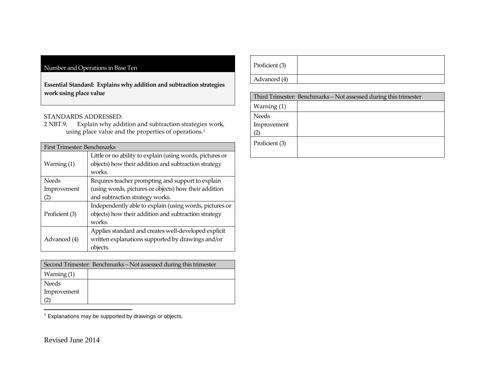**Essential Standard: Explains why addition and subtraction strategies work using place value** 

# STANDARDS ADDRESSED:<br>2 NBT.9. Explain why add:

Explain why addition and subtraction strategies work, using place value and the properties of operations.<sup>1</sup>

| First Trimester: Benchmarks                               |  |  |
|-----------------------------------------------------------|--|--|
| Little or no ability to explain (using words, pictures or |  |  |
| objects) how their addition and subtraction strategy      |  |  |
| works.                                                    |  |  |
| Requires teacher prompting and support to explain         |  |  |
| (using words, pictures or objects) how their addition     |  |  |
| and subtraction strategy works.                           |  |  |
| Independently able to explain (using words, pictures or   |  |  |
| objects) how their addition and subtraction strategy      |  |  |
| works.                                                    |  |  |
| Applies standard and creates well-developed explicit      |  |  |
| written explanations supported by drawings and/or         |  |  |
| objects.                                                  |  |  |
|                                                           |  |  |

| Second Trimester: Benchmarks – Not assessed during this trimester |  |  |
|-------------------------------------------------------------------|--|--|
| Warning $(1)$                                                     |  |  |
| Needs                                                             |  |  |
| Improvement                                                       |  |  |
|                                                                   |  |  |

1 Explanations may be supported by drawings or objects.

| Proficient (3) |  |
|----------------|--|
| Advanced (4)   |  |
|                |  |

| Third Trimester: Benchmarks - Not assessed during this trimester |  |  |
|------------------------------------------------------------------|--|--|
| Warning (1)                                                      |  |  |
| <b>Needs</b>                                                     |  |  |
| Improvement                                                      |  |  |
|                                                                  |  |  |
| Proficient (3)                                                   |  |  |
|                                                                  |  |  |

Revised June 2014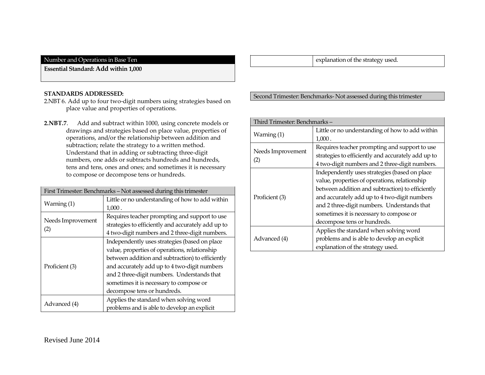**Essential Standard: Add within 1,000** 

#### **STANDARDS ADDRESSED:**

- 2.NBT 6. Add up to four two-digit numbers using strategies based on place value and properties of operations.
- **2.NBT.7**. Add and subtract within 1000, using concrete models or drawings and strategies based on place value, properties of operations, and/or the relationship between addition and subtraction; relate the strategy to a written method. Understand that in adding or subtracting three-digit numbers, one adds or subtracts hundreds and hundreds, tens and tens, ones and ones; and sometimes it is necessary to compose or decompose tens or hundreds.

| First Trimester: Benchmarks - Not assessed during this trimester |                                                    |  |
|------------------------------------------------------------------|----------------------------------------------------|--|
|                                                                  | Little or no understanding of how to add within    |  |
| Warning (1)                                                      | 1,000.                                             |  |
|                                                                  | Requires teacher prompting and support to use      |  |
| Needs Improvement                                                | strategies to efficiently and accurately add up to |  |
| (2)                                                              | 4 two-digit numbers and 2 three-digit numbers.     |  |
|                                                                  | Independently uses strategies (based on place      |  |
|                                                                  | value, properties of operations, relationship      |  |
|                                                                  | between addition and subtraction) to efficiently   |  |
| Proficient (3)                                                   | and accurately add up to 4 two-digit numbers       |  |
|                                                                  | and 2 three-digit numbers. Understands that        |  |
|                                                                  | sometimes it is necessary to compose or            |  |
|                                                                  | decompose tens or hundreds.                        |  |
|                                                                  | Applies the standard when solving word             |  |
| Advanced (4)                                                     | problems and is able to develop an explicit        |  |

explanation of the strategy used.

## Second Trimester: Benchmarks- Not assessed during this trimester

#### Third Trimester: Benchmarks – Warning (1) Little or no understanding of how to add within 1,000 . Needs Improvement (2) Requires teacher prompting and support to use strategies to efficiently and accurately add up to 4 two-digit numbers and 2 three-digit numbers. Proficient (3) Independently uses strategies (based on place value, properties of operations, relationship between addition and subtraction) to efficiently and accurately add up to 4 two-digit numbers and 2 three-digit numbers. Understands that sometimes it is necessary to compose or decompose tens or hundreds. Advanced (4) Applies the standard when solving word problems and is able to develop an explicit explanation of the strategy used.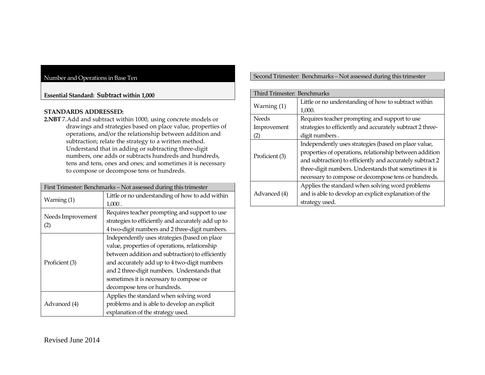#### **Essential Standard: Subtract within 1,000**

#### **STANDARDS ADDRESSED:**

**2.NBT** 7.Add and subtract within 1000, using concrete models or drawings and strategies based on place value, properties of operations, and/or the relationship between addition and subtraction; relate the strategy to a written method. Understand that in adding or subtracting three-digit numbers, one adds or subtracts hundreds and hundreds, tens and tens, ones and ones; and sometimes it is necessary to compose or decompose tens or hundreds.

| First Trimester: Benchmarks - Not assessed during this trimester |                                                    |  |
|------------------------------------------------------------------|----------------------------------------------------|--|
| Warning (1)                                                      | Little or no understanding of how to add within    |  |
|                                                                  | 1,000.                                             |  |
|                                                                  | Requires teacher prompting and support to use      |  |
| Needs Improvement                                                | strategies to efficiently and accurately add up to |  |
| (2)                                                              | 4 two-digit numbers and 2 three-digit numbers.     |  |
|                                                                  | Independently uses strategies (based on place      |  |
|                                                                  | value, properties of operations, relationship      |  |
|                                                                  | between addition and subtraction) to efficiently   |  |
| Proficient (3)                                                   | and accurately add up to 4 two-digit numbers       |  |
|                                                                  | and 2 three-digit numbers. Understands that        |  |
|                                                                  | sometimes it is necessary to compose or            |  |
|                                                                  | decompose tens or hundreds.                        |  |
|                                                                  | Applies the standard when solving word             |  |
| Advanced (4)                                                     | problems and is able to develop an explicit        |  |
|                                                                  | explanation of the strategy used.                  |  |

Second Trimester: Benchmarks – Not assessed during this trimester

| Third Trimester: Benchmarks |                                                            |
|-----------------------------|------------------------------------------------------------|
| Warning (1)                 | Little or no understanding of how to subtract within       |
|                             | 1,000.                                                     |
| <b>Needs</b>                | Requires teacher prompting and support to use              |
| Improvement                 | strategies to efficiently and accurately subtract 2 three- |
| (2)                         | digit numbers.                                             |
|                             | Independently uses strategies (based on place value,       |
|                             | properties of operations, relationship between addition    |
| Proficient (3)              | and subtraction) to efficiently and accurately subtract 2  |
|                             | three-digit numbers. Understands that sometimes it is      |
|                             | necessary to compose or decompose tens or hundreds.        |
|                             | Applies the standard when solving word problems            |
| Advanced (4)                | and is able to develop an explicit explanation of the      |
|                             | strategy used.                                             |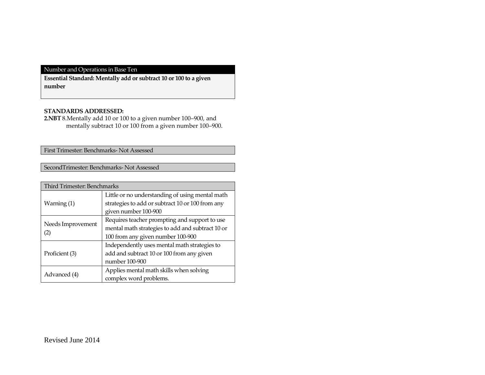**Essential Standard: Mentally add or subtract 10 or 100 to a given number**

## **STANDARDS ADDRESSED:**

**2.NBT** 8.Mentally add 10 or 100 to a given number 100–900, and mentally subtract 10 or 100 from a given number 100-900.

First Trimester: Benchmarks- Not Assessed

SecondTrimester: Benchmarks- Not Assessed

| <b>Third Trimester: Benchmarks</b> |                                                  |  |
|------------------------------------|--------------------------------------------------|--|
|                                    | Little or no understanding of using mental math  |  |
| Warning $(1)$                      | strategies to add or subtract 10 or 100 from any |  |
|                                    | given number 100-900                             |  |
|                                    | Requires teacher prompting and support to use    |  |
| Needs Improvement                  | mental math strategies to add and subtract 10 or |  |
| (2)                                | 100 from any given number 100-900                |  |
|                                    | Independently uses mental math strategies to     |  |
| Proficient (3)                     | add and subtract 10 or 100 from any given        |  |
|                                    | number 100-900                                   |  |
|                                    | Applies mental math skills when solving          |  |
| Advanced (4)                       | complex word problems.                           |  |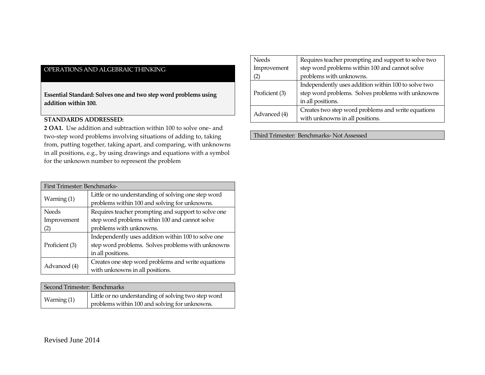**Essential Standard: Solves one and two step word problems using addition within 100.**

## **STANDARDS ADDRESSED:**

**2 OA1.** Use addition and subtraction within 100 to solve one- and two-step word problems involving situations of adding to, taking from, putting together, taking apart, and comparing, with unknowns in all positions, e.g., by using drawings and equations with a symbol for the unknown number to represent the problem

| First Trimester: Benchmarks- |                                                     |
|------------------------------|-----------------------------------------------------|
| Warning (1)                  | Little or no understanding of solving one step word |
|                              | problems within 100 and solving for unknowns.       |
| Needs                        | Requires teacher prompting and support to solve one |
| Improvement                  | step word problems within 100 and cannot solve      |
| (2)                          | problems with unknowns.                             |
| Proficient (3)               | Independently uses addition within 100 to solve one |
|                              | step word problems. Solves problems with unknowns   |
|                              | in all positions.                                   |
| Advanced (4)                 | Creates one step word problems and write equations  |
|                              | with unknowns in all positions.                     |

| Second Trimester: Benchmarks |                                                     |
|------------------------------|-----------------------------------------------------|
| Warning (1)                  | Little or no understanding of solving two step word |
|                              | problems within 100 and solving for unknowns.       |

| <b>Needs</b>   | Requires teacher prompting and support to solve two |
|----------------|-----------------------------------------------------|
| Improvement    | step word problems within 100 and cannot solve      |
| (2)            | problems with unknowns.                             |
| Proficient (3) | Independently uses addition within 100 to solve two |
|                | step word problems. Solves problems with unknowns   |
|                | in all positions.                                   |
| Advanced (4)   | Creates two step word problems and write equations  |
|                | with unknowns in all positions.                     |

Third Trimester: Benchmarks- Not Assessed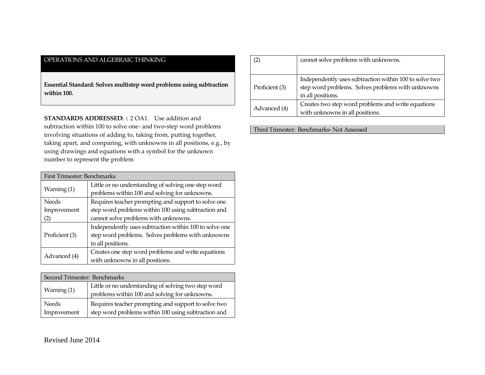**Essential Standard: Solves multistep word problems using subtraction within 100.**

**STANDARDS ADDRESSED: :** 2 OA1. Use addition and subtraction within 100 to solve one- and two-step word problems involving situations of adding to, taking from, putting together, taking apart, and comparing, with unknowns in all positions, e.g., by using drawings and equations with a symbol for the unknown number to represent the problem

| First Trimester: Benchmarks |                                                        |
|-----------------------------|--------------------------------------------------------|
| Warning (1)                 | Little or no understanding of solving one step word    |
|                             | problems within 100 and solving for unknowns.          |
| <b>Needs</b>                | Requires teacher prompting and support to solve one    |
| Improvement                 | step word problems within 100 using subtraction and    |
| (2)                         | cannot solve problems with unknowns.                   |
| Proficient (3)              | Independently uses subtraction within 100 to solve one |
|                             | step word problems. Solves problems with unknowns      |
|                             | in all positions.                                      |
| Advanced (4)                | Creates one step word problems and write equations     |
|                             | with unknowns in all positions.                        |

| Second Trimester: Benchmarks |                                                                                                            |
|------------------------------|------------------------------------------------------------------------------------------------------------|
| Warning $(1)$                | Little or no understanding of solving two step word<br>problems within 100 and solving for unknowns.       |
| <b>Needs</b><br>Improvement  | Requires teacher prompting and support to solve two<br>step word problems within 100 using subtraction and |

|                | cannot solve problems with unknowns.                                                                        |
|----------------|-------------------------------------------------------------------------------------------------------------|
|                |                                                                                                             |
| Proficient (3) | Independently uses subtraction within 100 to solve two<br>step word problems. Solves problems with unknowns |
|                | in all positions.                                                                                           |
| Advanced (4)   | Creates two step word problems and write equations                                                          |
|                | with unknowns in all positions.                                                                             |

Third Trimester: Benchmarks- Not Assessed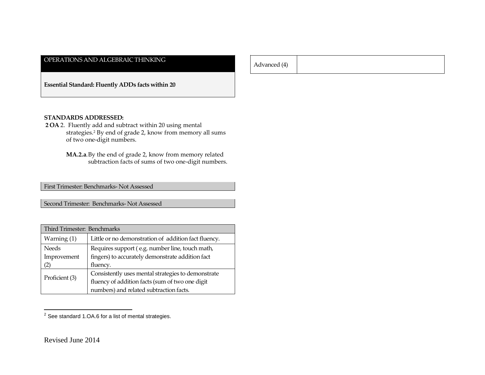Advanced (4)

**Essential Standard: Fluently ADDs facts within 20**

#### **STANDARDS ADDRESSED:**

- **2 OA** 2. Fluently add and subtract within 20 using mental strategies.<sup>2</sup> By end of grade 2, know from memory all sums of two one-digit numbers.
	- **MA.2.a**.By the end of grade 2, know from memory related subtraction facts of sums of two one-digit numbers.

First Trimester: Benchmarks- Not Assessed

Second Trimester: Benchmarks- Not Assessed

| Third Trimester: Benchmarks |                                                      |
|-----------------------------|------------------------------------------------------|
| Warning (1)                 | Little or no demonstration of addition fact fluency. |
| <b>Needs</b>                | Requires support (e.g. number line, touch math,      |
| Improvement                 | fingers) to accurately demonstrate addition fact     |
| (2)                         | fluency.                                             |
| Proficient (3)              | Consistently uses mental strategies to demonstrate   |
|                             | fluency of addition facts (sum of two one digit      |
|                             | numbers) and related subtraction facts.              |

endary<br>
<sup>2</sup> See standard 1.OA.6 for a list of mental strategies.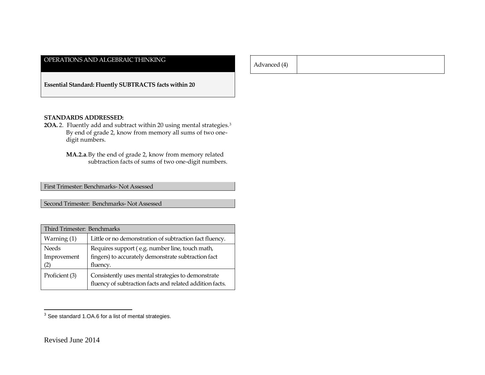Advanced (4)

**Essential Standard: Fluently SUBTRACTS facts within 20**

#### **STANDARDS ADDRESSED:**

- 2OA. 2. Fluently add and subtract within 20 using mental strategies.<sup>3</sup> By end of grade 2, know from memory all sums of two onedigit numbers.
	- **MA.2.a**.By the end of grade 2, know from memory related subtraction facts of sums of two one-digit numbers.

First Trimester: Benchmarks- Not Assessed

Second Trimester: Benchmarks- Not Assessed

| Third Trimester: Benchmarks |                                                                                                                |
|-----------------------------|----------------------------------------------------------------------------------------------------------------|
| Warning (1)                 | Little or no demonstration of subtraction fact fluency.                                                        |
| <b>Needs</b>                | Requires support (e.g. number line, touch math,                                                                |
| Improvement                 | fingers) to accurately demonstrate subtraction fact                                                            |
| (2)                         | fluency.                                                                                                       |
| Proficient (3)              | Consistently uses mental strategies to demonstrate<br>fluency of subtraction facts and related addition facts. |

<sup>&</sup>lt;u>Exercises</u><br><sup>3</sup> See standard 1.OA.6 for a list of mental strategies.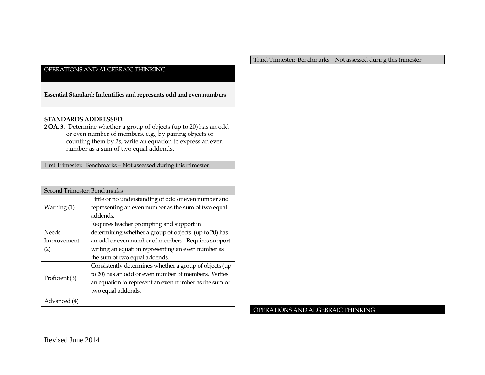**Essential Standard: Indentifies and represents odd and even numbers**

#### **STANDARDS ADDRESSED:**

**2 OA. 3**. Determine whether a group of objects (up to 20) has an odd or even number of members, e.g., by pairing objects or counting them by 2s; write an equation to express an even number as a sum of two equal addends.

First Trimester: Benchmarks – Not assessed during this trimester

| Second Trimester: Benchmarks |                                                        |
|------------------------------|--------------------------------------------------------|
|                              | Little or no understanding of odd or even number and   |
| Warning (1)                  | representing an even number as the sum of two equal    |
|                              | addends.                                               |
|                              | Requires teacher prompting and support in              |
| <b>Needs</b>                 | determining whether a group of objects (up to 20) has  |
| Improvement                  | an odd or even number of members. Requires support     |
| (2)                          | writing an equation representing an even number as     |
|                              | the sum of two equal addends.                          |
|                              | Consistently determines whether a group of objects (up |
| Proficient (3)               | to 20) has an odd or even number of members. Writes    |
|                              | an equation to represent an even number as the sum of  |
|                              | two equal addends.                                     |
| Advanced (4)                 |                                                        |

Third Trimester: Benchmarks – Not assessed during this trimester

OPERATIONS AND ALGEBRAIC THINKING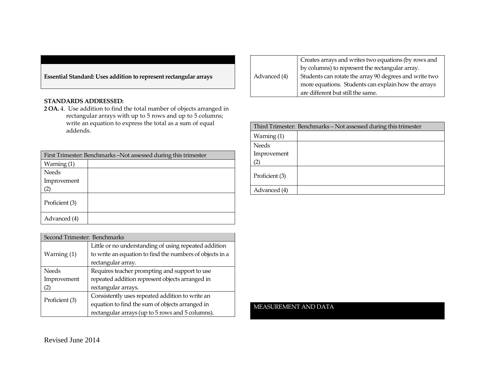**Essential Standard: Uses addition to represent rectangular arrays** 

## **STANDARDS ADDRESSED:**

**2 OA.** 4. Use addition to find the total number of objects arranged in rectangular arrays with up to 5 rows and up to 5 columns; write an equation to express the total as a sum of equal addends.

| First Trimester: Benchmarks - Not assessed during this trimester |  |
|------------------------------------------------------------------|--|
| Warning $(1)$                                                    |  |
| Needs                                                            |  |
| Improvement                                                      |  |
|                                                                  |  |
| Proficient (3)                                                   |  |
| Advanced (4)                                                     |  |

| Second Trimester: Benchmarks |                                                          |
|------------------------------|----------------------------------------------------------|
| Warning (1)                  | Little or no understanding of using repeated addition    |
|                              | to write an equation to find the numbers of objects in a |
|                              | rectangular array.                                       |
| <b>Needs</b>                 | Requires teacher prompting and support to use            |
| Improvement                  | repeated addition represent objects arranged in          |
| (2)                          | rectangular arrays.                                      |
| Proficient (3)               | Consistently uses repeated addition to write an          |
|                              | equation to find the sum of objects arranged in          |
|                              | rectangular arrays (up to 5 rows and 5 columns).         |

| Advanced (4) | Creates arrays and writes two equations (by rows and   |
|--------------|--------------------------------------------------------|
|              | by columns) to represent the rectangular array.        |
|              | Students can rotate the array 90 degrees and write two |
|              | more equations. Students can explain how the arrays    |
|              | are different but still the same.                      |

| Third Trimester: Benchmarks - Not assessed during this trimester |  |
|------------------------------------------------------------------|--|
| Warning $(1)$                                                    |  |
| <b>Needs</b>                                                     |  |
| Improvement                                                      |  |
| (2)                                                              |  |
| Proficient (3)                                                   |  |
| Advanced (4)                                                     |  |

#### MEASUREMENT AND DATA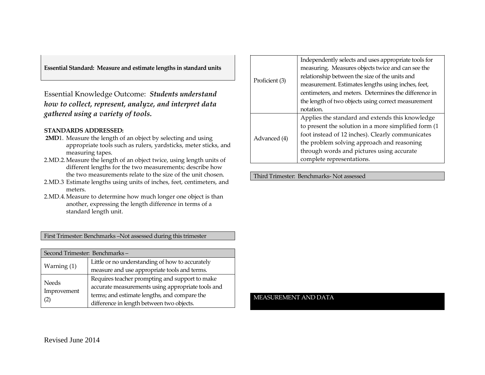**Essential Standard: Measure and estimate lengths in standard units**

Essential Knowledge Outcome: *Students understand how to collect, represent, analyze, and interpret data gathered using a variety of tools.*

#### **STANDARDS ADDRESSED:**

- **2MD**1. Measure the length of an object by selecting and using appropriate tools such as rulers, yardsticks, meter sticks, and measuring tapes.
- 2.MD.2.Measure the length of an object twice, using length units of different lengths for the two measurements; describe how the two measurements relate to the size of the unit chosen.
- 2.MD.3 Estimate lengths using units of inches, feet, centimeters, and meters.
- 2.MD.4.Measure to determine how much longer one object is than another, expressing the length difference in terms of a standard length unit.

First Trimester: Benchmarks –Not assessed during this trimester

| Second Trimester: Benchmarks- |                                                   |
|-------------------------------|---------------------------------------------------|
| Warning (1)                   | Little or no understanding of how to accurately   |
|                               | measure and use appropriate tools and terms.      |
| Needs<br>Improvement<br>(2)   | Requires teacher prompting and support to make    |
|                               | accurate measurements using appropriate tools and |
|                               | terms; and estimate lengths, and compare the      |
|                               | difference in length between two objects.         |

|                | Independently selects and uses appropriate tools for  |
|----------------|-------------------------------------------------------|
|                | measuring. Measures objects twice and can see the     |
|                | relationship between the size of the units and        |
| Proficient (3) | measurement. Estimates lengths using inches, feet,    |
|                | centimeters, and meters. Determines the difference in |
|                | the length of two objects using correct measurement   |
|                | notation.                                             |
| Advanced (4)   | Applies the standard and extends this knowledge       |
|                | to present the solution in a more simplified form (1  |
|                | foot instead of 12 inches). Clearly communicates      |
|                | the problem solving approach and reasoning            |
|                | through words and pictures using accurate             |
|                | complete representations.                             |

Third Trimester: Benchmarks- Not assessed

#### MEASUREMENT AND DATA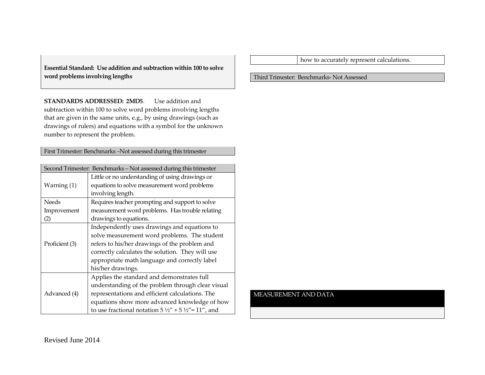**Essential Standard: Use addition and subtraction within 100 to solve word problems involving lengths**

**STANDARDS ADDRESSED: 2MD5**. Use addition and subtraction within 100 to solve word problems involving lengths that are given in the same units, e.g., by using drawings (such as drawings of rulers) and equations with a symbol for the unknown number to represent the problem.

First Trimester: Benchmarks –Not assessed during this trimester

| Second Trimester: Benchmarks - Not assessed during this trimester |                                                                        |  |
|-------------------------------------------------------------------|------------------------------------------------------------------------|--|
|                                                                   | Little or no understanding of using drawings or                        |  |
| Warning (1)                                                       | equations to solve measurement word problems                           |  |
|                                                                   | involving length.                                                      |  |
| <b>Needs</b>                                                      | Requires teacher prompting and support to solve                        |  |
| Improvement                                                       | measurement word problems. Has trouble relating                        |  |
| (2)                                                               | drawings to equations.                                                 |  |
| Proficient (3)                                                    | Independently uses drawings and equations to                           |  |
|                                                                   | solve measurement word problems. The student                           |  |
|                                                                   | refers to his/her drawings of the problem and                          |  |
|                                                                   | correctly calculates the solution. They will use                       |  |
|                                                                   | appropriate math language and correctly label                          |  |
|                                                                   | his/her drawings.                                                      |  |
|                                                                   | Applies the standard and demonstrates full                             |  |
| Advanced (4)                                                      | understanding of the problem through clear visual                      |  |
|                                                                   | representations and efficient calculations. The                        |  |
|                                                                   | equations show more advanced knowledge of how                          |  |
|                                                                   | to use fractional notation $5\frac{1}{2}$ + 5 $\frac{1}{2}$ = 11", and |  |

how to accurately represent calculations.

#### Third Trimester: Benchmarks- Not Assessed

MEASUREMENT AND DATA

Revised June 2014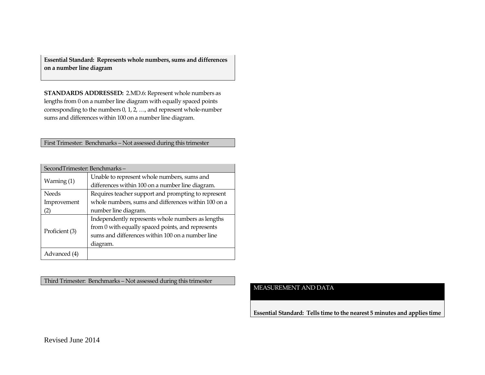**Essential Standard: Represents whole numbers, sums and differences on a number line diagram**

**STANDARDS ADDRESSED:** 2.MD.6: Represent whole numbers as lengths from 0 on a number line diagram with equally spaced points corresponding to the numbers 0, 1, 2, …, and represent whole-number sums and differences within 100 on a number line diagram.

First Trimester: Benchmarks – Not assessed during this trimester

| SecondTrimester: Benchmarks- |                                                     |
|------------------------------|-----------------------------------------------------|
| Warning (1)                  | Unable to represent whole numbers, sums and         |
|                              | differences within 100 on a number line diagram.    |
| <b>Needs</b>                 | Requires teacher support and prompting to represent |
| Improvement                  | whole numbers, sums and differences within 100 on a |
| (2)                          | number line diagram.                                |
| Proficient (3)               | Independently represents whole numbers as lengths   |
|                              | from 0 with equally spaced points, and represents   |
|                              | sums and differences within 100 on a number line    |
|                              | diagram.                                            |
| Advanced (4)                 |                                                     |

Third Trimester: Benchmarks – Not assessed during this trimester

## MEASUREMENT AND DATA

**Essential Standard: Tells time to the nearest 5 minutes and applies time**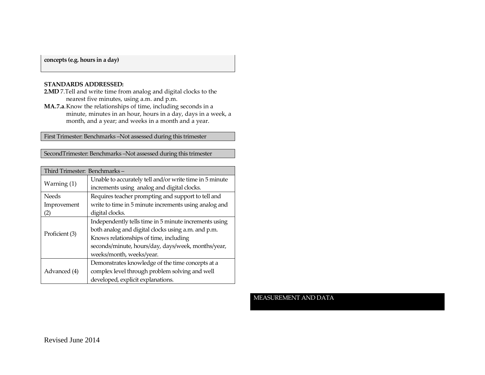## **concepts (e.g. hours in a day)**

#### **STANDARDS ADDRESSED:**

- **2.MD** 7.Tell and write time from analog and digital clocks to the nearest five minutes, using a.m. and p.m.
- **MA.7.a**.Know the relationships of time, including seconds in a minute, minutes in an hour, hours in a day, days in a week, a month, and a year; and weeks in a month and a year.

First Trimester: Benchmarks –Not assessed during this trimester

SecondTrimester: Benchmarks –Not assessed during this trimester

| Third Trimester: Benchmarks-                                         |                                                                                                        |  |
|----------------------------------------------------------------------|--------------------------------------------------------------------------------------------------------|--|
| Warning (1)                                                          | Unable to accurately tell and/or write time in 5 minute<br>increments using analog and digital clocks. |  |
| Requires teacher prompting and support to tell and<br><b>Needs</b>   |                                                                                                        |  |
| write to time in 5 minute increments using analog and<br>Improvement |                                                                                                        |  |
| (2)                                                                  | digital clocks.                                                                                        |  |
|                                                                      | Independently tells time in 5 minute increments using                                                  |  |
| Proficient (3)                                                       | both analog and digital clocks using a.m. and p.m.                                                     |  |
|                                                                      | Knows relationships of time, including                                                                 |  |
|                                                                      | seconds/minute, hours/day, days/week, months/year,                                                     |  |
| weeks/month, weeks/year.                                             |                                                                                                        |  |
|                                                                      | Demonstrates knowledge of the time concepts at a                                                       |  |
| Advanced (4)                                                         | complex level through problem solving and well                                                         |  |
|                                                                      | developed, explicit explanations.                                                                      |  |

MEASUREMENT AND DATA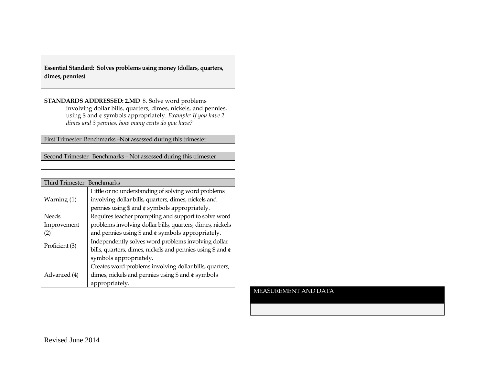**Essential Standard: Solves problems using money (dollars, quarters, dimes, pennies)**

**STANDARDS ADDRESSED: 2.MD** 8. Solve word problems involving dollar bills, quarters, dimes, nickels, and pennies, using \$ and ¢ symbols appropriately. *Example: If you have 2 dimes and 3 pennies, how many cents do you have?*

First Trimester: Benchmarks –Not assessed during this trimester

| Second Trimester: Benchmarks - Not assessed during this trimester |
|-------------------------------------------------------------------|
|                                                                   |

| Third Trimester: Benchmarks-                                 |                                                            |
|--------------------------------------------------------------|------------------------------------------------------------|
|                                                              | Little or no understanding of solving word problems        |
| Warning (1)                                                  | involving dollar bills, quarters, dimes, nickels and       |
|                                                              | pennies using \$ and ¢ symbols appropriately.              |
| <b>Needs</b>                                                 | Requires teacher prompting and support to solve word       |
| Improvement                                                  | problems involving dollar bills, quarters, dimes, nickels  |
| and pennies using $\$$ and $¢$ symbols appropriately.<br>(2) |                                                            |
|                                                              | Independently solves word problems involving dollar        |
| Proficient (3)                                               | bills, quarters, dimes, nickels and pennies using \$ and ¢ |
| symbols appropriately.                                       |                                                            |
|                                                              | Creates word problems involving dollar bills, quarters,    |
| Advanced (4)                                                 | dimes, nickels and pennies using $$$ and $¢$ symbols       |
|                                                              | appropriately.                                             |

## MEASUREMENT AND DATA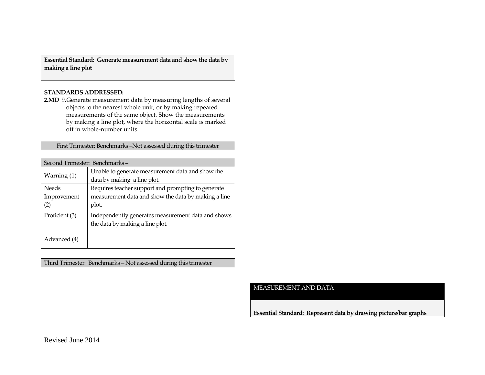**Essential Standard: Generate measurement data and show the data by making a line plot**

#### **STANDARDS ADDRESSED:**

**2.MD** 9.Generate measurement data by measuring lengths of several objects to the nearest whole unit, or by making repeated measurements of the same object. Show the measurements by making a line plot, where the horizontal scale is marked off in whole-number units.

First Trimester: Benchmarks –Not assessed during this trimester

| Second Trimester: Benchmarks- |                                                     |
|-------------------------------|-----------------------------------------------------|
| Warning $(1)$                 | Unable to generate measurement data and show the    |
|                               | data by making a line plot.                         |
| <b>Needs</b>                  | Requires teacher support and prompting to generate  |
| Improvement                   | measurement data and show the data by making a line |
| (2)                           | plot.                                               |
| Proficient (3)                | Independently generates measurement data and shows  |
|                               | the data by making a line plot.                     |
| Advanced (4)                  |                                                     |

Third Trimester: Benchmarks – Not assessed during this trimester

#### MEASUREMENT AND DATA

**Essential Standard: Represent data by drawing picture/bar graphs**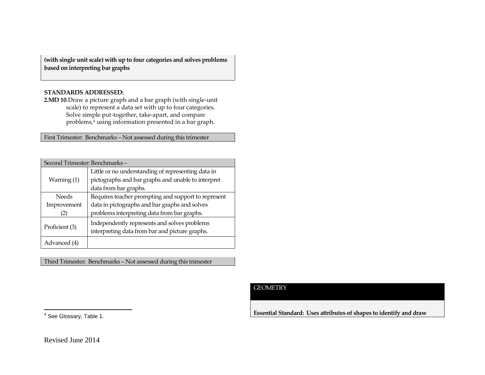**(with single unit scale) with up to four categories and solves problems based on interpreting bar graphs**

## **STANDARDS ADDRESSED:**

**2.MD 10**.Draw a picture graph and a bar graph (with single-unit scale) to represent a data set with up to four categories. Solve simple put-together, take-apart, and compare problems,<sup>4</sup> using information presented in a bar graph.

First Trimester: Benchmarks – Not assessed during this trimester

| Second Trimester: Benchmarks- |                                                     |  |
|-------------------------------|-----------------------------------------------------|--|
|                               | Little or no understanding of representing data in  |  |
| Warning $(1)$                 | pictographs and bar graphs and unable to interpret  |  |
|                               | data from bar graphs.                               |  |
| <b>Needs</b>                  | Requires teacher prompting and support to represent |  |
| Improvement                   | data in pictographs and bar graphs and solves       |  |
| $\left[ 2\right]$             | problems interpreting data from bar graphs.         |  |
|                               | Independently represents and solves problems        |  |
| Proficient (3)                | interpreting data from bar and picture graphs.      |  |
| Advanced (4)                  |                                                     |  |

Third Trimester: Benchmarks – Not assessed during this trimester

## **GEOMETRY**

**Essential Standard: Uses attributes of shapes to identify and draw** 

4 See Glossary, Table 1.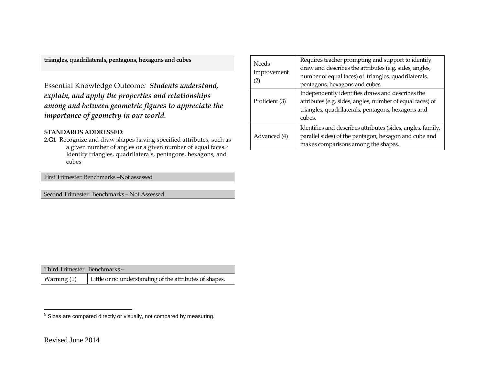**triangles, quadrilaterals, pentagons, hexagons and cubes**

Essential Knowledge Outcome*: Students understand, explain, and apply the properties and relationships among and between geometric figures to appreciate the importance of geometry in our world.*

## **STANDARDS ADDRESSED:**

**2.G1** Recognize and draw shapes having specified attributes, such as a given number of angles or a given number of equal faces.<sup>5</sup> Identify triangles, quadrilaterals, pentagons, hexagons, and cubes

First Trimester: Benchmarks –Not assessed

Second Trimester: Benchmarks – Not Assessed

| <b>Needs</b><br>Improvement<br>(2)                                                                                                                                          | Requires teacher prompting and support to identify<br>draw and describes the attributes (e.g. sides, angles,<br>number of equal faces) of triangles, quadrilaterals,<br>pentagons, hexagons and cubes.<br>Independently identifies draws and describes the<br>attributes (e.g. sides, angles, number of equal faces) of<br>triangles, quadrilaterals, pentagons, hexagons and<br>cubes. |  |
|-----------------------------------------------------------------------------------------------------------------------------------------------------------------------------|-----------------------------------------------------------------------------------------------------------------------------------------------------------------------------------------------------------------------------------------------------------------------------------------------------------------------------------------------------------------------------------------|--|
| Proficient (3)                                                                                                                                                              |                                                                                                                                                                                                                                                                                                                                                                                         |  |
| Identifies and describes attributes (sides, angles, family,<br>parallel sides) of the pentagon, hexagon and cube and<br>Advanced (4)<br>makes comparisons among the shapes. |                                                                                                                                                                                                                                                                                                                                                                                         |  |

| Third Trimester: Benchmarks- |                                                         |
|------------------------------|---------------------------------------------------------|
| Warning (1)                  | Little or no understanding of the attributes of shapes. |

<sup>&</sup>lt;u>s</u><br><sup>5</sup> Sizes are compared directly or visually, not compared by measuring.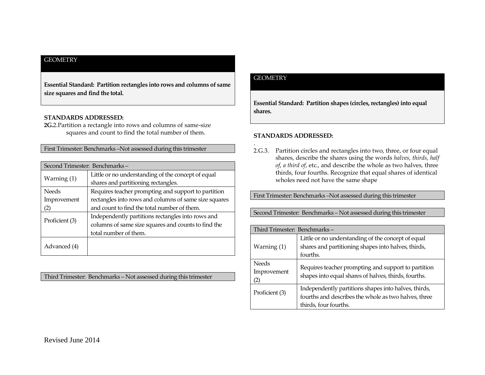## **GEOMETRY**

**Essential Standard: Partition rectangles into rows and columns of same size squares and find the total.**

#### **STANDARDS ADDRESSED:**

**2G.**2.Partition a rectangle into rows and columns of same-size squares and count to find the total number of them.

First Trimester: Benchmarks –Not assessed during this trimester

| Second Trimester: Benchmarks- |                                                       |
|-------------------------------|-------------------------------------------------------|
|                               | Little or no understanding of the concept of equal    |
| Warning (1)                   | shares and partitioning rectangles.                   |
| <b>Needs</b>                  | Requires teacher prompting and support to partition   |
| Improvement                   | rectangles into rows and columns of same size squares |
| (2)                           | and count to find the total number of them.           |
| Proficient (3)                | Independently partitions rectangles into rows and     |
|                               | columns of same size squares and counts to find the   |
|                               | total number of them.                                 |
| Advanced (4)                  |                                                       |

Third Trimester: Benchmarks – Not assessed during this trimester

## **GEOMETRY**

**Essential Standard: Partition shapes (circles, rectangles) into equal shares.**

#### **STANDARDS ADDRESSED:**

. 2.G.3. Partition circles and rectangles into two, three, or four equal shares, describe the shares using the words *halves*, *thirds*, *half of*, *a third of*, etc., and describe the whole as two halves, three thirds, four fourths. Recognize that equal shares of identical wholes need not have the same shape

First Trimester: Benchmarks –Not assessed during this trimester

Second Trimester: Benchmarks – Not assessed during this trimester

| Third Trimester: Benchmarks-      |                                                                                                                                       |
|-----------------------------------|---------------------------------------------------------------------------------------------------------------------------------------|
| Warning $(1)$                     | Little or no understanding of the concept of equal<br>shares and partitioning shapes into halves, thirds,<br>fourths.                 |
| <b>Needs</b><br>Improvement<br>2) | Requires teacher prompting and support to partition<br>shapes into equal shares of halves, thirds, fourths.                           |
| Proficient (3)                    | Independently partitions shapes into halves, thirds,<br>fourths and describes the whole as two halves, three<br>thirds, four fourths. |